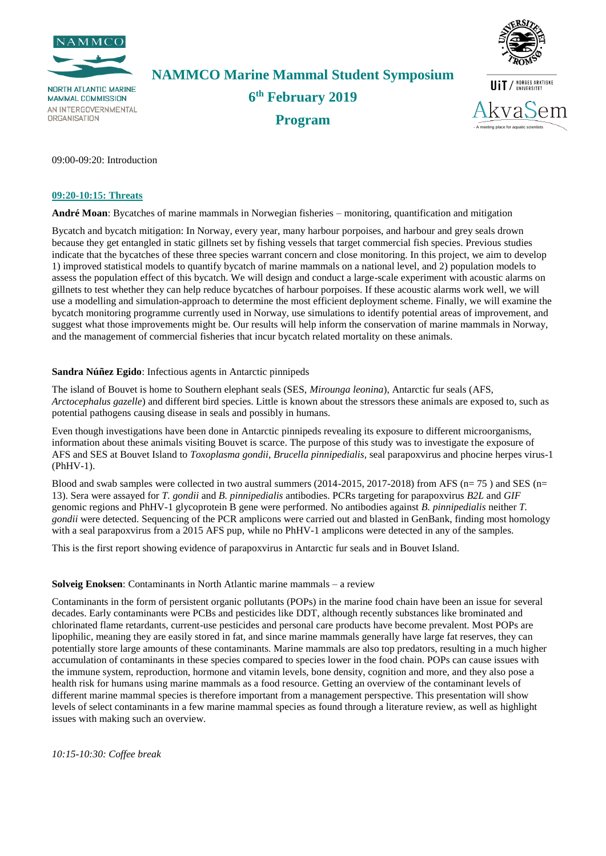

**NORTH ATLANTIC MARINE MAMMAL COMMISSION** AN INTERGOVERNMENTAL **ORGANISATION** 

**NAMMCO Marine Mammal Student Symposium 6 th February 2019 Program**



- A meeting place for aquatic scientists

09:00-09:20: Introduction

#### **09:20-10:15: Threats**

**André Moan**: Bycatches of marine mammals in Norwegian fisheries – monitoring, quantification and mitigation

Bycatch and bycatch mitigation: In Norway, every year, many harbour porpoises, and harbour and grey seals drown because they get entangled in static gillnets set by fishing vessels that target commercial fish species. Previous studies indicate that the bycatches of these three species warrant concern and close monitoring. In this project, we aim to develop 1) improved statistical models to quantify bycatch of marine mammals on a national level, and 2) population models to assess the population effect of this bycatch. We will design and conduct a large-scale experiment with acoustic alarms on gillnets to test whether they can help reduce bycatches of harbour porpoises. If these acoustic alarms work well, we will use a modelling and simulation-approach to determine the most efficient deployment scheme. Finally, we will examine the bycatch monitoring programme currently used in Norway, use simulations to identify potential areas of improvement, and suggest what those improvements might be. Our results will help inform the conservation of marine mammals in Norway, and the management of commercial fisheries that incur bycatch related mortality on these animals.

### **Sandra Núñez Egido**: Infectious agents in Antarctic pinnipeds

The island of Bouvet is home to Southern elephant seals (SES, *Mirounga leonina*), Antarctic fur seals (AFS, *Arctocephalus gazelle*) and different bird species. Little is known about the stressors these animals are exposed to, such as potential pathogens causing disease in seals and possibly in humans.

Even though investigations have been done in Antarctic pinnipeds revealing its exposure to different microorganisms, information about these animals visiting Bouvet is scarce. The purpose of this study was to investigate the exposure of AFS and SES at Bouvet Island to *Toxoplasma gondii*, *Brucella pinnipedialis*, seal parapoxvirus and phocine herpes virus-1 (PhHV-1).

Blood and swab samples were collected in two austral summers (2014-2015, 2017-2018) from AFS ( $n= 75$ ) and SES ( $n=$ 13). Sera were assayed for *T. gondii* and *B. pinnipedialis* antibodies. PCRs targeting for parapoxvirus *B2L* and *GIF* genomic regions and PhHV-1 glycoprotein B gene were performed. No antibodies against *B. pinnipedialis* neither *T. gondii* were detected. Sequencing of the PCR amplicons were carried out and blasted in GenBank, finding most homology with a seal parapoxvirus from a 2015 AFS pup, while no PhHV-1 amplicons were detected in any of the samples.

This is the first report showing evidence of parapoxvirus in Antarctic fur seals and in Bouvet Island.

#### **Solveig Enoksen**: Contaminants in North Atlantic marine mammals – a review

Contaminants in the form of persistent organic pollutants (POPs) in the marine food chain have been an issue for several decades. Early contaminants were PCBs and pesticides like DDT, although recently substances like brominated and chlorinated flame retardants, current-use pesticides and personal care products have become prevalent. Most POPs are lipophilic, meaning they are easily stored in fat, and since marine mammals generally have large fat reserves, they can potentially store large amounts of these contaminants. Marine mammals are also top predators, resulting in a much higher accumulation of contaminants in these species compared to species lower in the food chain. POPs can cause issues with the immune system, reproduction, hormone and vitamin levels, bone density, cognition and more, and they also pose a health risk for humans using marine mammals as a food resource. Getting an overview of the contaminant levels of different marine mammal species is therefore important from a management perspective. This presentation will show levels of select contaminants in a few marine mammal species as found through a literature review, as well as highlight issues with making such an overview.

*10:15-10:30: Coffee break*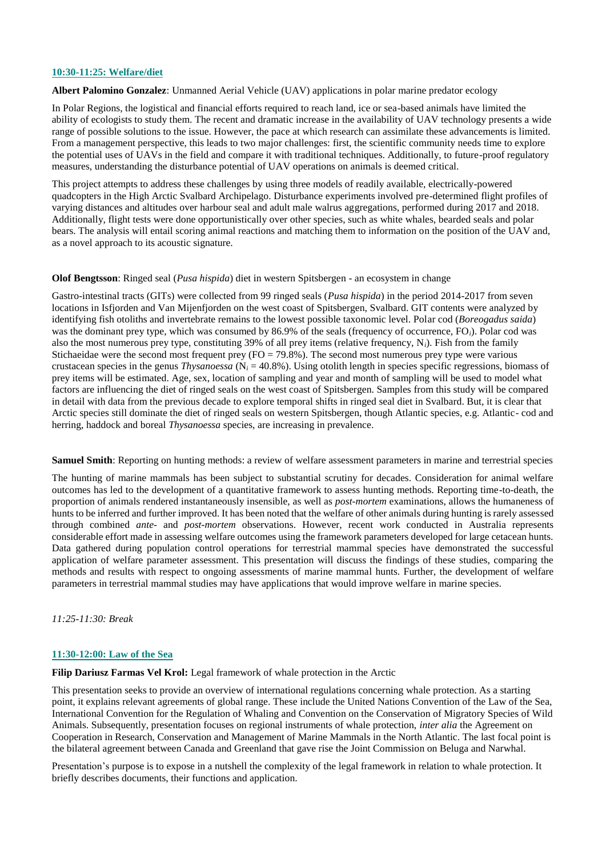### **10:30-11:25: Welfare/diet**

**Albert Palomino Gonzalez**: Unmanned Aerial Vehicle (UAV) applications in polar marine predator ecology

In Polar Regions, the logistical and financial efforts required to reach land, ice or sea-based animals have limited the ability of ecologists to study them. The recent and dramatic increase in the availability of UAV technology presents a wide range of possible solutions to the issue. However, the pace at which research can assimilate these advancements is limited. From a management perspective, this leads to two major challenges: first, the scientific community needs time to explore the potential uses of UAVs in the field and compare it with traditional techniques. Additionally, to future-proof regulatory measures, understanding the disturbance potential of UAV operations on animals is deemed critical.

This project attempts to address these challenges by using three models of readily available, electrically-powered quadcopters in the High Arctic Svalbard Archipelago. Disturbance experiments involved pre-determined flight profiles of varying distances and altitudes over harbour seal and adult male walrus aggregations, performed during 2017 and 2018. Additionally, flight tests were done opportunistically over other species, such as white whales, bearded seals and polar bears. The analysis will entail scoring animal reactions and matching them to information on the position of the UAV and, as a novel approach to its acoustic signature.

#### **Olof Bengtsson**: Ringed seal (*Pusa hispida*) diet in western Spitsbergen - an ecosystem in change

Gastro-intestinal tracts (GITs) were collected from 99 ringed seals (*Pusa hispida*) in the period 2014-2017 from seven locations in Isfjorden and Van Mijenfjorden on the west coast of Spitsbergen, Svalbard. GIT contents were analyzed by identifying fish otoliths and invertebrate remains to the lowest possible taxonomic level. Polar cod (*Boreogadus saida*) was the dominant prey type, which was consumed by 86.9% of the seals (frequency of occurrence, FO*i*). Polar cod was also the most numerous prey type, constituting 39% of all prey items (relative frequency, N*i*). Fish from the family Stichaeidae were the second most frequent prey (FO = 79.8%). The second most numerous prey type were various crustacean species in the genus *Thysanoessa* ( $N_i = 40.8\%$ ). Using otolith length in species specific regressions, biomass of prey items will be estimated. Age, sex, location of sampling and year and month of sampling will be used to model what factors are influencing the diet of ringed seals on the west coast of Spitsbergen. Samples from this study will be compared in detail with data from the previous decade to explore temporal shifts in ringed seal diet in Svalbard. But, it is clear that Arctic species still dominate the diet of ringed seals on western Spitsbergen, though Atlantic species, e.g. Atlantic- cod and herring, haddock and boreal *Thysanoessa* species, are increasing in prevalence.

**Samuel Smith**: Reporting on hunting methods: a review of welfare assessment parameters in marine and terrestrial species

The hunting of marine mammals has been subject to substantial scrutiny for decades. Consideration for animal welfare outcomes has led to the development of a quantitative framework to assess hunting methods. Reporting time-to-death, the proportion of animals rendered instantaneously insensible, as well as *post-mortem* examinations, allows the humaneness of hunts to be inferred and further improved. It has been noted that the welfare of other animals during hunting is rarely assessed through combined *ante-* and *post-mortem* observations. However, recent work conducted in Australia represents considerable effort made in assessing welfare outcomes using the framework parameters developed for large cetacean hunts. Data gathered during population control operations for terrestrial mammal species have demonstrated the successful application of welfare parameter assessment. This presentation will discuss the findings of these studies, comparing the methods and results with respect to ongoing assessments of marine mammal hunts. Further, the development of welfare parameters in terrestrial mammal studies may have applications that would improve welfare in marine species.

*11:25-11:30: Break*

### **11:30-12:00: Law of the Sea**

**Filip Dariusz Farmas Vel Krol:** Legal framework of whale protection in the Arctic

This presentation seeks to provide an overview of international regulations concerning whale protection. As a starting point, it explains relevant agreements of global range. These include the United Nations Convention of the Law of the Sea, International Convention for the Regulation of Whaling and Convention on the Conservation of Migratory Species of Wild Animals. Subsequently, presentation focuses on regional instruments of whale protection, *inter alia* the Agreement on Cooperation in Research, Conservation and Management of Marine Mammals in the North Atlantic. The last focal point is the bilateral agreement between Canada and Greenland that gave rise the Joint Commission on Beluga and Narwhal.

Presentation's purpose is to expose in a nutshell the complexity of the legal framework in relation to whale protection. It briefly describes documents, their functions and application.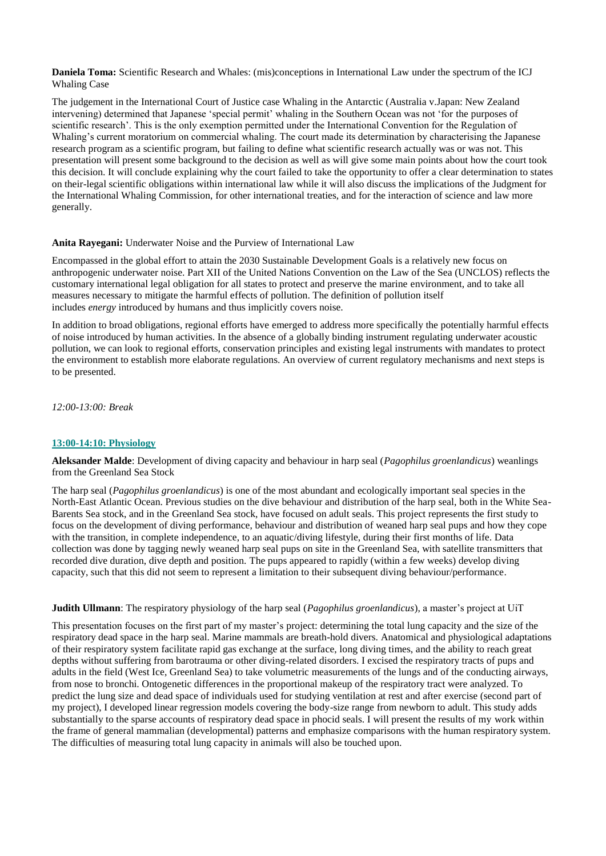**Daniela Toma:** Scientific Research and Whales: (mis)conceptions in International Law under the spectrum of the ICJ Whaling Case

The judgement in the International Court of Justice case Whaling in the Antarctic (Australia v.Japan: New Zealand intervening) determined that Japanese 'special permit' whaling in the Southern Ocean was not 'for the purposes of scientific research'. This is the only exemption permitted under the International Convention for the Regulation of Whaling's current moratorium on commercial whaling. The court made its determination by characterising the Japanese research program as a scientific program, but failing to define what scientific research actually was or was not. This presentation will present some background to the decision as well as will give some main points about how the court took this decision. It will conclude explaining why the court failed to take the opportunity to offer a clear determination to states on their-legal scientific obligations within international law while it will also discuss the implications of the Judgment for the International Whaling Commission, for other international treaties, and for the interaction of science and law more generally.

#### **Anita Rayegani:** Underwater Noise and the Purview of International Law

Encompassed in the global effort to attain the 2030 Sustainable Development Goals is a relatively new focus on anthropogenic underwater noise. Part XII of the United Nations Convention on the Law of the Sea (UNCLOS) reflects the customary international legal obligation for all states to protect and preserve the marine environment, and to take all measures necessary to mitigate the harmful effects of pollution. The definition of pollution itself includes *energy* introduced by humans and thus implicitly covers noise.

In addition to broad obligations, regional efforts have emerged to address more specifically the potentially harmful effects of noise introduced by human activities. In the absence of a globally binding instrument regulating underwater acoustic pollution, we can look to regional efforts, conservation principles and existing legal instruments with mandates to protect the environment to establish more elaborate regulations. An overview of current regulatory mechanisms and next steps is to be presented.

*12:00-13:00: Break*

## **13:00-14:10: Physiology**

**Aleksander Malde**: Development of diving capacity and behaviour in harp seal (*Pagophilus groenlandicus*) weanlings from the Greenland Sea Stock

The harp seal (*Pagophilus groenlandicus*) is one of the most abundant and ecologically important seal species in the North-East Atlantic Ocean. Previous studies on the dive behaviour and distribution of the harp seal, both in the White Sea-Barents Sea stock, and in the Greenland Sea stock, have focused on adult seals. This project represents the first study to focus on the development of diving performance, behaviour and distribution of weaned harp seal pups and how they cope with the transition, in complete independence, to an aquatic/diving lifestyle, during their first months of life. Data collection was done by tagging newly weaned harp seal pups on site in the Greenland Sea, with satellite transmitters that recorded dive duration, dive depth and position. The pups appeared to rapidly (within a few weeks) develop diving capacity, such that this did not seem to represent a limitation to their subsequent diving behaviour/performance.

### **Judith Ullmann**: The respiratory physiology of the harp seal (*Pagophilus groenlandicus*), a master's project at UiT

This presentation focuses on the first part of my master's project: determining the total lung capacity and the size of the respiratory dead space in the harp seal. Marine mammals are breath-hold divers. Anatomical and physiological adaptations of their respiratory system facilitate rapid gas exchange at the surface, long diving times, and the ability to reach great depths without suffering from barotrauma or other diving-related disorders. I excised the respiratory tracts of pups and adults in the field (West Ice, Greenland Sea) to take volumetric measurements of the lungs and of the conducting airways, from nose to bronchi. Ontogenetic differences in the proportional makeup of the respiratory tract were analyzed. To predict the lung size and dead space of individuals used for studying ventilation at rest and after exercise (second part of my project), I developed linear regression models covering the body-size range from newborn to adult. This study adds substantially to the sparse accounts of respiratory dead space in phocid seals. I will present the results of my work within the frame of general mammalian (developmental) patterns and emphasize comparisons with the human respiratory system. The difficulties of measuring total lung capacity in animals will also be touched upon.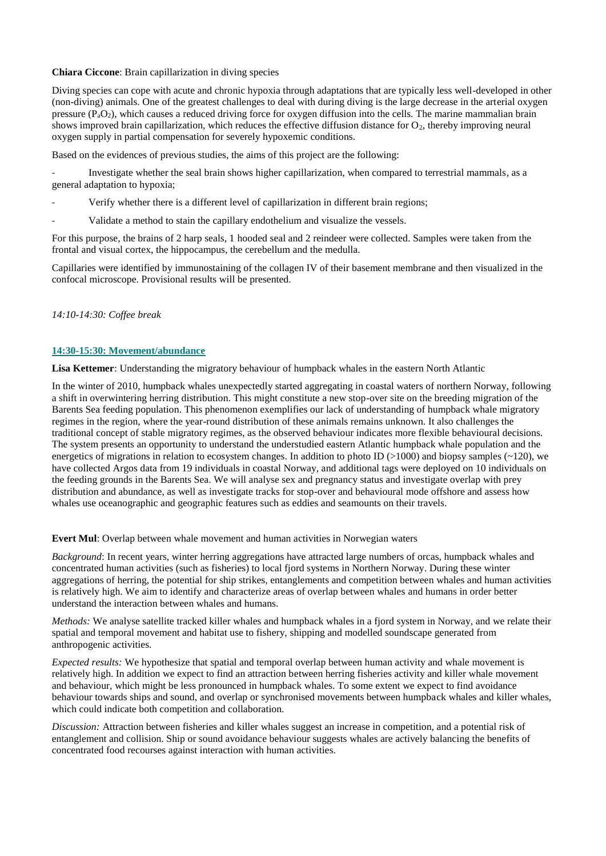## **Chiara Ciccone**: Brain capillarization in diving species

Diving species can cope with acute and chronic hypoxia through adaptations that are typically less well-developed in other (non-diving) animals. One of the greatest challenges to deal with during diving is the large decrease in the arterial oxygen pressure  $(P_aO_2)$ , which causes a reduced driving force for oxygen diffusion into the cells. The marine mammalian brain shows improved brain capillarization, which reduces the effective diffusion distance for  $O_2$ , thereby improving neural oxygen supply in partial compensation for severely hypoxemic conditions.

Based on the evidences of previous studies, the aims of this project are the following:

- Investigate whether the seal brain shows higher capillarization, when compared to terrestrial mammals, as a general adaptation to hypoxia;

- Verify whether there is a different level of capillarization in different brain regions;
- Validate a method to stain the capillary endothelium and visualize the vessels.

For this purpose, the brains of 2 harp seals, 1 hooded seal and 2 reindeer were collected. Samples were taken from the frontal and visual cortex, the hippocampus, the cerebellum and the medulla.

Capillaries were identified by immunostaining of the collagen IV of their basement membrane and then visualized in the confocal microscope. Provisional results will be presented.

## *14:10-14:30: Coffee break*

## **14:30-15:30: Movement/abundance**

**Lisa Kettemer**: Understanding the migratory behaviour of humpback whales in the eastern North Atlantic

In the winter of 2010, humpback whales unexpectedly started aggregating in coastal waters of northern Norway, following a shift in overwintering herring distribution. This might constitute a new stop-over site on the breeding migration of the Barents Sea feeding population. This phenomenon exemplifies our lack of understanding of humpback whale migratory regimes in the region, where the year-round distribution of these animals remains unknown. It also challenges the traditional concept of stable migratory regimes, as the observed behaviour indicates more flexible behavioural decisions. The system presents an opportunity to understand the understudied eastern Atlantic humpback whale population and the energetics of migrations in relation to ecosystem changes. In addition to photo ID ( $>1000$ ) and biopsy samples ( $\sim$ 120), we have collected Argos data from 19 individuals in coastal Norway, and additional tags were deployed on 10 individuals on the feeding grounds in the Barents Sea. We will analyse sex and pregnancy status and investigate overlap with prey distribution and abundance, as well as investigate tracks for stop-over and behavioural mode offshore and assess how whales use oceanographic and geographic features such as eddies and seamounts on their travels.

**Evert Mul**: Overlap between whale movement and human activities in Norwegian waters

*Background*: In recent years, winter herring aggregations have attracted large numbers of orcas, humpback whales and concentrated human activities (such as fisheries) to local fjord systems in Northern Norway. During these winter aggregations of herring, the potential for ship strikes, entanglements and competition between whales and human activities is relatively high. We aim to identify and characterize areas of overlap between whales and humans in order better understand the interaction between whales and humans.

*Methods:* We analyse satellite tracked killer whales and humpback whales in a fjord system in Norway, and we relate their spatial and temporal movement and habitat use to fishery, shipping and modelled soundscape generated from anthropogenic activities.

*Expected results:* We hypothesize that spatial and temporal overlap between human activity and whale movement is relatively high. In addition we expect to find an attraction between herring fisheries activity and killer whale movement and behaviour, which might be less pronounced in humpback whales. To some extent we expect to find avoidance behaviour towards ships and sound, and overlap or synchronised movements between humpback whales and killer whales, which could indicate both competition and collaboration.

*Discussion:* Attraction between fisheries and killer whales suggest an increase in competition, and a potential risk of entanglement and collision. Ship or sound avoidance behaviour suggests whales are actively balancing the benefits of concentrated food recourses against interaction with human activities.